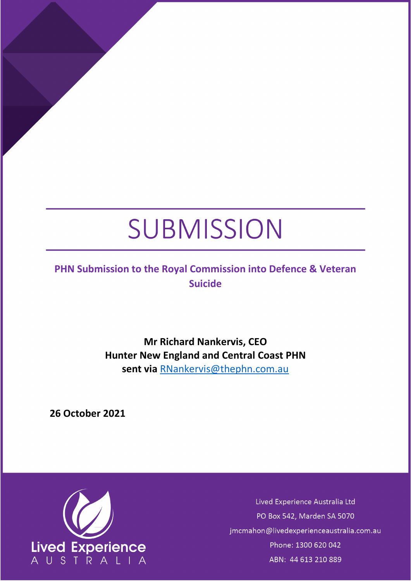# SUBMISSION

## **PHN Submission to the Royal Commission into Defence & Veteran Suicide**

**Mr Richard Nankervis, CEO Hunter New England and Central Coast PHN sent via** [RNankervis@thephn.com.au](mailto:RNankervis@thephn.com.au)

**26 October 2021**



Lived Experience Australia Ltd PO Box 542, Marden SA 5070 jmcmahon@livedexperienceaustralia.com.au Phone: 1300 620 042 ABN: 44 613 210 889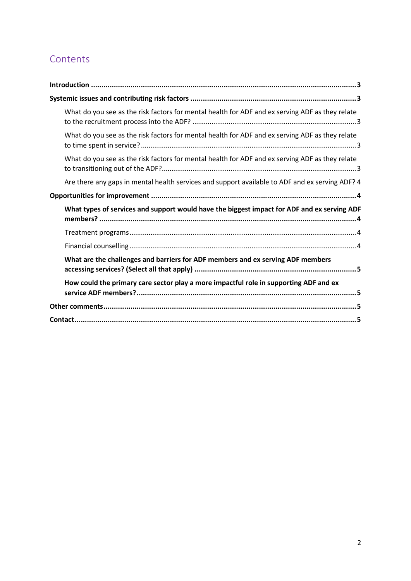# Contents

| What do you see as the risk factors for mental health for ADF and ex serving ADF as they relate |  |
|-------------------------------------------------------------------------------------------------|--|
| What do you see as the risk factors for mental health for ADF and ex serving ADF as they relate |  |
| What do you see as the risk factors for mental health for ADF and ex serving ADF as they relate |  |
| Are there any gaps in mental health services and support available to ADF and ex serving ADF? 4 |  |
|                                                                                                 |  |
| What types of services and support would have the biggest impact for ADF and ex serving ADF     |  |
|                                                                                                 |  |
|                                                                                                 |  |
| What are the challenges and barriers for ADF members and ex serving ADF members                 |  |
| How could the primary care sector play a more impactful role in supporting ADF and ex           |  |
|                                                                                                 |  |
|                                                                                                 |  |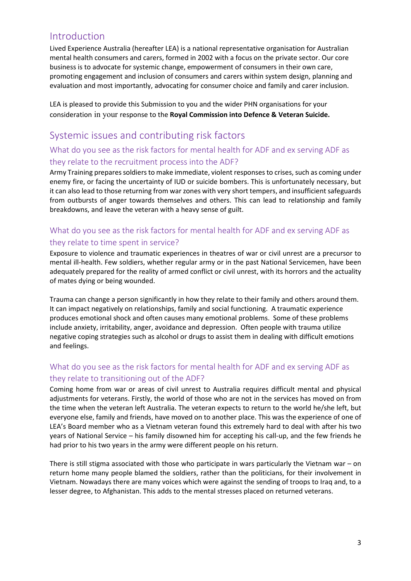## <span id="page-2-0"></span>Introduction

Lived Experience Australia (hereafter LEA) is a national representative organisation for Australian mental health consumers and carers, formed in 2002 with a focus on the private sector. Our core business is to advocate for systemic change, empowerment of consumers in their own care, promoting engagement and inclusion of consumers and carers within system design, planning and evaluation and most importantly, advocating for consumer choice and family and carer inclusion.

LEA is pleased to provide this Submission to you and the wider PHN organisations for your consideration in your response to the **Royal Commission into Defence & Veteran Suicide.**

## <span id="page-2-1"></span>Systemic issues and contributing risk factors

#### <span id="page-2-2"></span>What do you see as the risk factors for mental health for ADF and ex serving ADF as they relate to the recruitment process into the ADF?

Army Training prepares soldiers to make immediate, violent responses to crises, such as coming under enemy fire, or facing the uncertainty of IUD or suicide bombers. This is unfortunately necessary, but it can also lead to those returning from war zones with very short tempers, and insufficient safeguards from outbursts of anger towards themselves and others. This can lead to relationship and family breakdowns, and leave the veteran with a heavy sense of guilt.

#### <span id="page-2-3"></span>What do you see as the risk factors for mental health for ADF and ex serving ADF as they relate to time spent in service?

Exposure to violence and traumatic experiences in theatres of war or civil unrest are a precursor to mental ill-health. Few soldiers, whether regular army or in the past National Servicemen, have been adequately prepared for the reality of armed conflict or civil unrest, with its horrors and the actuality of mates dying or being wounded.

Trauma can change a person significantly in how they relate to their family and others around them. It can impact negatively on relationships, family and social functioning. A traumatic experience produces emotional shock and often causes many emotional problems. Some of these problems include anxiety, irritability, anger, avoidance and depression. Often people with trauma utilize negative coping strategies such as alcohol or drugs to assist them in dealing with difficult emotions and feelings.

#### <span id="page-2-4"></span>What do you see as the risk factors for mental health for ADF and ex serving ADF as they relate to transitioning out of the ADF?

Coming home from war or areas of civil unrest to Australia requires difficult mental and physical adjustments for veterans. Firstly, the world of those who are not in the services has moved on from the time when the veteran left Australia. The veteran expects to return to the world he/she left, but everyone else, family and friends, have moved on to another place. This was the experience of one of LEA's Board member who as a Vietnam veteran found this extremely hard to deal with after his two years of National Service – his family disowned him for accepting his call-up, and the few friends he had prior to his two years in the army were different people on his return.

There is still stigma associated with those who participate in wars particularly the Vietnam war – on return home many people blamed the soldiers, rather than the politicians, for their involvement in Vietnam. Nowadays there are many voices which were against the sending of troops to Iraq and, to a lesser degree, to Afghanistan. This adds to the mental stresses placed on returned veterans.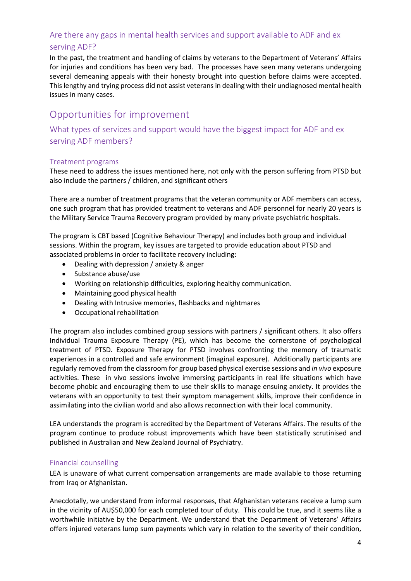#### <span id="page-3-0"></span>Are there any gaps in mental health services and support available to ADF and ex serving ADF?

In the past, the treatment and handling of claims by veterans to the Department of Veterans' Affairs for injuries and conditions has been very bad. The processes have seen many veterans undergoing several demeaning appeals with their honesty brought into question before claims were accepted. This lengthy and trying process did not assist veterans in dealing with their undiagnosed mental health issues in many cases.

## <span id="page-3-1"></span>Opportunities for improvement

<span id="page-3-2"></span>What types of services and support would have the biggest impact for ADF and ex serving ADF members?

#### <span id="page-3-3"></span>Treatment programs

These need to address the issues mentioned here, not only with the person suffering from PTSD but also include the partners / children, and significant others

There are a number of treatment programs that the veteran community or ADF members can access, one such program that has provided treatment to veterans and ADF personnel for nearly 20 years is the Military Service Trauma Recovery program provided by many private psychiatric hospitals.

The program is CBT based (Cognitive Behaviour Therapy) and includes both group and individual sessions. Within the program, key issues are targeted to provide education about PTSD and associated problems in order to facilitate recovery including:

- Dealing with depression / anxiety & anger
- Substance abuse/use
- Working on relationship difficulties, exploring healthy communication.
- Maintaining good physical health
- Dealing with Intrusive memories, flashbacks and nightmares
- Occupational rehabilitation

The program also includes combined group sessions with partners / significant others. It also offers Individual Trauma Exposure Therapy (PE), which has become the cornerstone of psychological treatment of PTSD. Exposure Therapy for PTSD involves confronting the memory of traumatic experiences in a controlled and safe environment (imaginal exposure). Additionally participants are regularly removed from the classroom for group based physical exercise sessions and *in vivo* exposure activities. These in vivo sessions involve immersing participants in real life situations which have become phobic and encouraging them to use their skills to manage ensuing anxiety. It provides the veterans with an opportunity to test their symptom management skills, improve their confidence in assimilating into the civilian world and also allows reconnection with their local community.

LEA understands the program is accredited by the Department of Veterans Affairs. The results of the program continue to produce robust improvements which have been statistically scrutinised and published in Australian and New Zealand Journal of Psychiatry.

#### <span id="page-3-4"></span>Financial counselling

LEA is unaware of what current compensation arrangements are made available to those returning from Iraq or Afghanistan.

Anecdotally, we understand from informal responses, that Afghanistan veterans receive a lump sum in the vicinity of AU\$50,000 for each completed tour of duty. This could be true, and it seems like a worthwhile initiative by the Department. We understand that the Department of Veterans' Affairs offers injured veterans lump sum payments which vary in relation to the severity of their condition,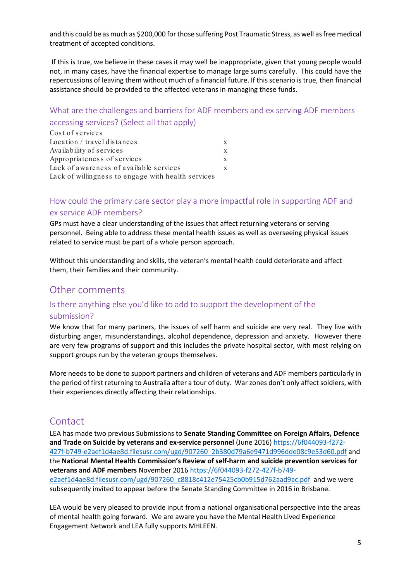and this could be as much as \$200,000 for those suffering Post Traumatic Stress, as well as free medical treatment of accepted conditions.

If this is true, we believe in these cases it may well be inappropriate, given that young people would not, in many cases, have the financial expertise to manage large sums carefully. This could have the repercussions of leaving them without much of a financial future. If this scenario is true, then financial assistance should be provided to the affected veterans in managing these funds.

#### <span id="page-4-0"></span>What are the challenges and barriers for ADF members and ex serving ADF members accessing services? (Select all that apply)

| Cost of services                                   |   |
|----------------------------------------------------|---|
| Location / travel distances                        |   |
| Availability of services                           | X |
| Appropriateness of services                        | X |
| Lack of awareness of available services            |   |
| Lack of willingness to engage with health services |   |

#### <span id="page-4-1"></span>How could the primary care sector play a more impactful role in supporting ADF and ex service ADF members?

GPs must have a clear understanding of the issues that affect returning veterans or serving personnel. Being able to address these mental health issues as well as overseeing physical issues related to service must be part of a whole person approach.

Without this understanding and skills, the veteran's mental health could deteriorate and affect them, their families and their community.

#### <span id="page-4-2"></span>Other comments

# Is there anything else you'd like to add to support the development of the

#### submission?

We know that for many partners, the issues of self harm and suicide are very real. They live with disturbing anger, misunderstandings, alcohol dependence, depression and anxiety. However there are very few programs of support and this includes the private hospital sector, with most relying on support groups run by the veteran groups themselves.

More needs to be done to support partners and children of veterans and ADF members particularly in the period of first returning to Australia after a tour of duty. War zones don't only affect soldiers, with their experiences directly affecting their relationships.

#### <span id="page-4-3"></span>Contact

LEA has made two previous Submissions to **Senate Standing Committee on Foreign Affairs, Defence and Trade on Suicide by veterans and ex-service personnel** (June 2016) [https://6f044093-f272-](https://6f044093-f272-427f-b749-e2aef1d4ae8d.filesusr.com/ugd/907260_2b380d79a6e9471d996dde08c9e53d60.pdf) [427f-b749-e2aef1d4ae8d.filesusr.com/ugd/907260\\_2b380d79a6e9471d996dde08c9e53d60.pdf](https://6f044093-f272-427f-b749-e2aef1d4ae8d.filesusr.com/ugd/907260_2b380d79a6e9471d996dde08c9e53d60.pdf) and the **National Mental Health Commission's Review of self-harm and suicide prevention services for veterans and ADF members** November 2016 [https://6f044093-f272-427f-b749](https://6f044093-f272-427f-b749-e2aef1d4ae8d.filesusr.com/ugd/907260_c8818c412e75425cb0b915d762aad9ac.pdf) [e2aef1d4ae8d.filesusr.com/ugd/907260\\_c8818c412e75425cb0b915d762aad9ac.pdf](https://6f044093-f272-427f-b749-e2aef1d4ae8d.filesusr.com/ugd/907260_c8818c412e75425cb0b915d762aad9ac.pdf) and we were subsequently invited to appear before the Senate Standing Committee in 2016 in Brisbane.

LEA would be very pleased to provide input from a national organisational perspective into the areas of mental health going forward. We are aware you have the Mental Health Lived Experience Engagement Network and LEA fully supports MHLEEN.